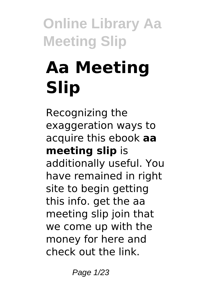# **Aa Meeting Slip**

Recognizing the exaggeration ways to acquire this ebook **aa meeting slip** is additionally useful. You have remained in right site to begin getting this info. get the aa meeting slip join that we come up with the money for here and check out the link.

Page 1/23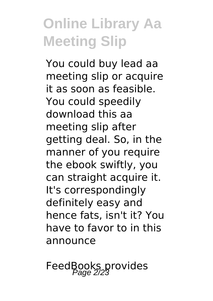You could buy lead aa meeting slip or acquire it as soon as feasible. You could speedily download this aa meeting slip after getting deal. So, in the manner of you require the ebook swiftly, you can straight acquire it. It's correspondingly definitely easy and hence fats, isn't it? You have to favor to in this announce

FeedBooks provides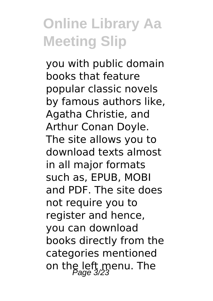you with public domain books that feature popular classic novels by famous authors like, Agatha Christie, and Arthur Conan Doyle. The site allows you to download texts almost in all major formats such as, EPUB, MOBI and PDF. The site does not require you to register and hence, you can download books directly from the categories mentioned on the left menu. The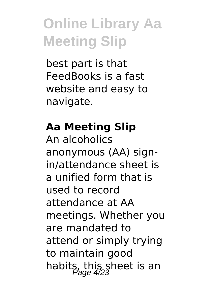best part is that FeedBooks is a fast website and easy to navigate.

#### **Aa Meeting Slip**

An alcoholics anonymous (AA) signin/attendance sheet is a unified form that is used to record attendance at AA meetings. Whether you are mandated to attend or simply trying to maintain good habits, this sheet is an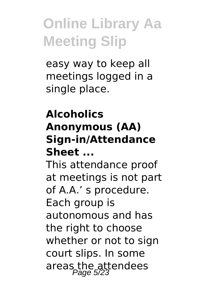easy way to keep all meetings logged in a single place.

#### **Alcoholics Anonymous (AA) Sign-in/Attendance Sheet ...**

This attendance proof at meetings is not part of A.A.' s procedure. Each group is autonomous and has the right to choose whether or not to sign court slips. In some areas the attendees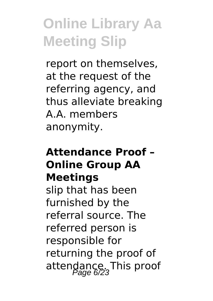report on themselves, at the request of the referring agency, and thus alleviate breaking A.A. members anonymity.

#### **Attendance Proof – Online Group AA Meetings**

slip that has been furnished by the referral source. The referred person is responsible for returning the proof of attendance. This proof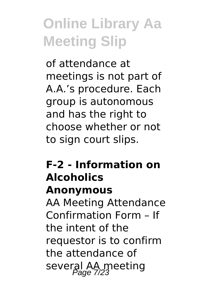of attendance at meetings is not part of A.A.'s procedure. Each group is autonomous and has the right to choose whether or not to sign court slips.

#### **F-2 - Information on Alcoholics Anonymous**

AA Meeting Attendance Confirmation Form – If the intent of the requestor is to confirm the attendance of several AA meeting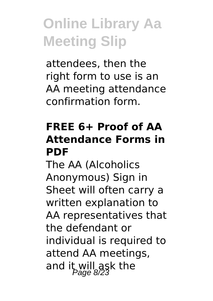attendees, then the right form to use is an AA meeting attendance confirmation form.

#### **FREE 6+ Proof of AA Attendance Forms in PDF**

The AA (Alcoholics Anonymous) Sign in Sheet will often carry a written explanation to AA representatives that the defendant or individual is required to attend AA meetings, and it will ask the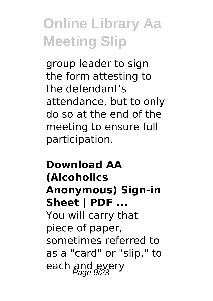group leader to sign the form attesting to the defendant's attendance, but to only do so at the end of the meeting to ensure full participation.

#### **Download AA (Alcoholics Anonymous) Sign-in Sheet | PDF ...** You will carry that piece of paper, sometimes referred to as a "card" or "slip," to each and every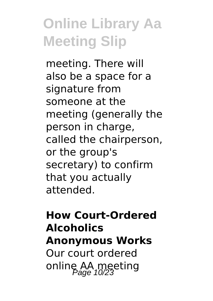meeting. There will also be a space for a signature from someone at the meeting (generally the person in charge, called the chairperson, or the group's secretary) to confirm that you actually attended.

#### **How Court-Ordered Alcoholics Anonymous Works** Our court ordered online AA meeting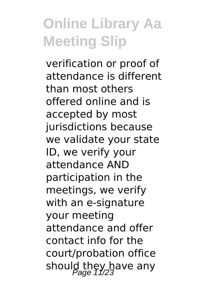verification or proof of attendance is different than most others offered online and is accepted by most jurisdictions because we validate your state ID, we verify your attendance AND participation in the meetings, we verify with an e-signature your meeting attendance and offer contact info for the court/probation office should they have any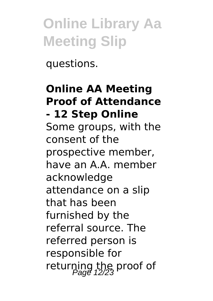questions.

#### **Online AA Meeting Proof of Attendance - 12 Step Online** Some groups, with the consent of the prospective member, have an A.A. member acknowledge attendance on a slip that has been furnished by the referral source. The referred person is responsible for returning the proof of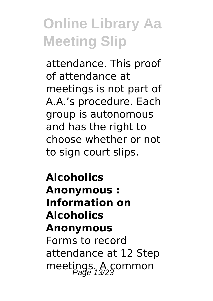attendance. This proof of attendance at meetings is not part of A.A.'s procedure. Each group is autonomous and has the right to choose whether or not to sign court slips.

**Alcoholics Anonymous : Information on Alcoholics Anonymous** Forms to record attendance at 12 Step meetings. A common<br>Page 13/23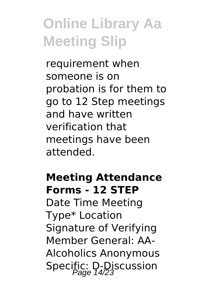requirement when someone is on probation is for them to go to 12 Step meetings and have written verification that meetings have been attended.

#### **Meeting Attendance Forms - 12 STEP**

Date Time Meeting Type\* Location Signature of Verifying Member General: AA-Alcoholics Anonymous Specific: D-Discussion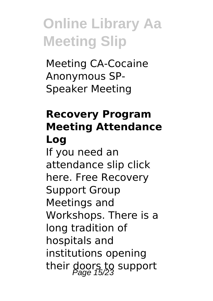Meeting CA-Cocaine Anonymous SP-Speaker Meeting

#### **Recovery Program Meeting Attendance Log**

If you need an attendance slip click here. Free Recovery Support Group Meetings and Workshops. There is a long tradition of hospitals and institutions opening their doors to support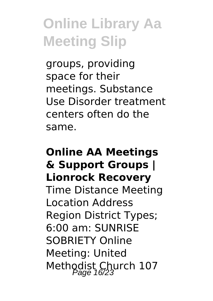groups, providing space for their meetings. Substance Use Disorder treatment centers often do the same.

#### **Online AA Meetings & Support Groups | Lionrock Recovery** Time Distance Meeting Location Address Region District Types; 6:00 am: SUNRISE SOBRIETY Online Meeting: United Methodist Church 107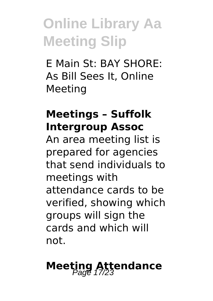E Main St: BAY SHORE: As Bill Sees It, Online Meeting

#### **Meetings – Suffolk Intergroup Assoc**

An area meeting list is prepared for agencies that send individuals to meetings with attendance cards to be verified, showing which groups will sign the cards and which will not.

# **Meeting Attendance**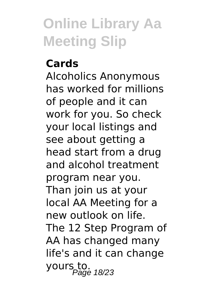#### **Cards**

Alcoholics Anonymous has worked for millions of people and it can work for you. So check your local listings and see about getting a head start from a drug and alcohol treatment program near you. Than join us at your local AA Meeting for a new outlook on life. The 12 Step Program of AA has changed many life's and it can change yours to.<br>Page 18/23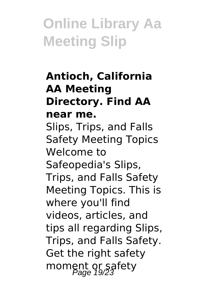#### **Antioch, California AA Meeting Directory. Find AA near me.** Slips, Trips, and Falls Safety Meeting Topics Welcome to Safeopedia's Slips, Trips, and Falls Safety Meeting Topics. This is where you'll find videos, articles, and tips all regarding Slips, Trips, and Falls Safety. Get the right safety

moment or safety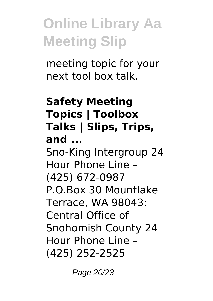meeting topic for your next tool box talk.

#### **Safety Meeting Topics | Toolbox Talks | Slips, Trips, and ...** Sno-King Intergroup 24 Hour Phone Line – (425) 672-0987 P.O.Box 30 Mountlake Terrace, WA 98043: Central Office of Snohomish County 24 Hour Phone Line – (425) 252-2525

Page 20/23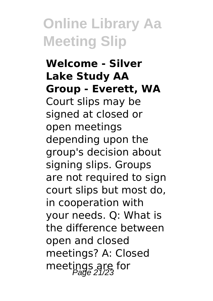#### **Welcome - Silver Lake Study AA Group - Everett, WA** Court slips may be signed at closed or open meetings depending upon the group's decision about signing slips. Groups are not required to sign court slips but most do, in cooperation with your needs. Q: What is the difference between open and closed meetings? A: Closed meetings are for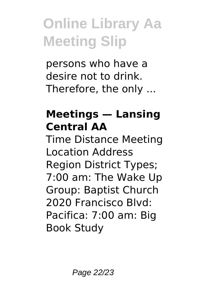persons who have a desire not to drink. Therefore, the only ...

#### **Meetings — Lansing Central AA**

Time Distance Meeting Location Address Region District Types; 7:00 am: The Wake Up Group: Baptist Church 2020 Francisco Blvd: Pacifica: 7:00 am: Big Book Study